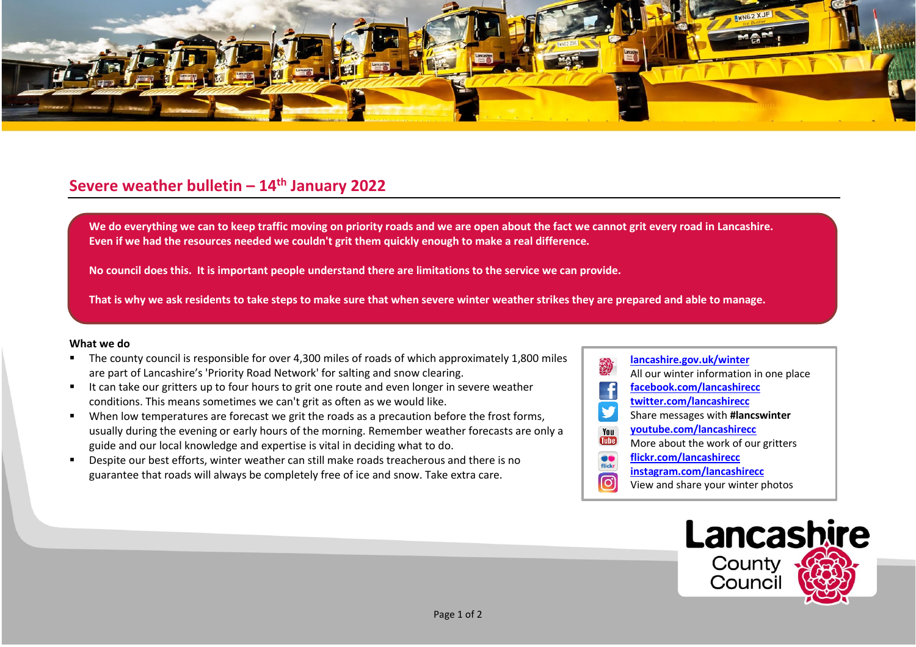

## **Severe weather bulletin – 14th January 2022**

We do everything we can to keep traffic moving on priority roads and we are open about the fact we cannot grit every road in Lancashire. **Even if we had the resources needed we couldn't grit them quickly enough to make a real difference.**

**No council does this. It is important people understand there are limitations to the service we can provide.**

**That is why we ask residents to take steps to make sure that when severe winter weather strikes they are prepared and able to manage.**

## **What we do**

- The county council is responsible for over 4,300 miles of roads of which approximately 1,800 miles are part of Lancashire's 'Priority Road Network' for salting and snow clearing.
- It can take our gritters up to four hours to grit one route and even longer in severe weather conditions. This means sometimes we can't grit as often as we would like.
- When low temperatures are forecast we grit the roads as a precaution before the frost forms, usually during the evening or early hours of the morning. Remember weather forecasts are only a guide and our local knowledge and expertise is vital in deciding what to do.
- Despite our best efforts, winter weather can still make roads treacherous and there is no guarantee that roads will always be completely free of ice and snow. Take extra care.
- **[lancashire.gov.uk/winter](http://www.lancashire.gov.uk/winter)** All our winter information in one place **[facebook.com/lancashirecc](http://www.facebook.com/lancashirecc) [twitter.com/lancashirecc](http://www.twitter.com/lancashirecc) y** Share messages with **#lancswinter [youtube.com/lancashirecc](http://www.youtube.com/lancashirecc)** You **Tilte** More about the work of our gritters  $\bullet$ **[flickr.com/lancashirecc](http://www.flickr.com/lancashirecc)** flickr **[instagram.com/lancashirecc](http://www.instagram.com/lancashirecc)** ြင View and share your winter photos